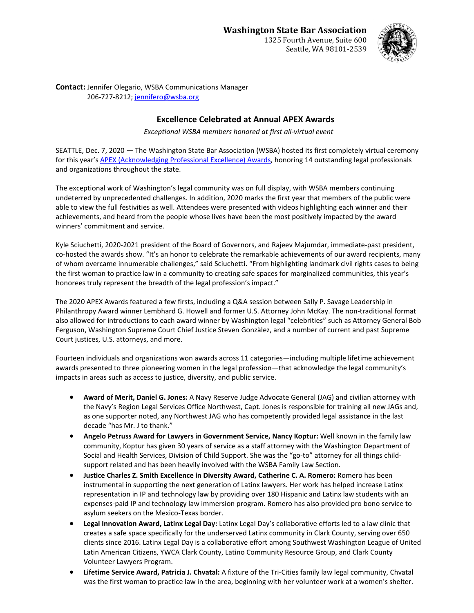Seattle, WA 98101-2539



**Contact:** Jennifer Olegario, WSBA Communications Manager 206-727-8212; [jennifero@wsba.org](mailto:jennifero@wsba.org)

## **Excellence Celebrated at Annual APEX Awards**

*Exceptional WSBA members honored at first all-virtual event*

SEATTLE, Dec. 7, 2020 — The Washington State Bar Association (WSBA) hosted its first completely virtual ceremony for this year'[s APEX \(Acknowledging Professional Excellence\) Awards,](https://www.wsba.org/about-wsba/apex-awards) honoring 14 outstanding legal professionals and organizations throughout the state.

The exceptional work of Washington's legal community was on full display, with WSBA members continuing undeterred by unprecedented challenges. In addition, 2020 marks the first year that members of the public were able to view the full festivities as well. Attendees were presented with videos highlighting each winner and their achievements, and heard from the people whose lives have been the most positively impacted by the award winners' commitment and service.

Kyle Sciuchetti, 2020-2021 president of the Board of Governors, and Rajeev Majumdar, immediate-past president, co-hosted the awards show. "It's an honor to celebrate the remarkable achievements of our award recipients, many of whom overcame innumerable challenges," said Sciuchetti. "From highlighting landmark civil rights cases to being the first woman to practice law in a community to creating safe spaces for marginalized communities, this year's honorees truly represent the breadth of the legal profession's impact."

The 2020 APEX Awards featured a few firsts, including a Q&A session between Sally P. Savage Leadership in Philanthropy Award winner Lembhard G. Howell and former U.S. Attorney John McKay. The non-traditional format also allowed for introductions to each award winner by Washington legal "celebrities" such as Attorney General Bob Ferguson, Washington Supreme Court Chief Justice Steven Gonzàlez, and a number of current and past Supreme Court justices, U.S. attorneys, and more.

Fourteen individuals and organizations won awards across 11 categories—including multiple lifetime achievement awards presented to three pioneering women in the legal profession—that acknowledge the legal community's impacts in areas such as access to justice, diversity, and public service.

- **Award of Merit, Daniel G. Jones:** A Navy Reserve Judge Advocate General (JAG) and civilian attorney with the Navy's Region Legal Services Office Northwest, Capt. Jones is responsible for training all new JAGs and, as one supporter noted, any Northwest JAG who has competently provided legal assistance in the last decade "has Mr. J to thank."
- **Angelo Petruss Award for Lawyers in Government Service, Nancy Koptur:** Well known in the family law community, Koptur has given 30 years of service as a staff attorney with the Washington Department of Social and Health Services, Division of Child Support. She was the "go-to" attorney for all things childsupport related and has been heavily involved with the WSBA Family Law Section.
- **Justice Charles Z. Smith Excellence in Diversity Award, Catherine C. A. Romero:** Romero has been instrumental in supporting the next generation of Latinx lawyers. Her work has helped increase Latinx representation in IP and technology law by providing over 180 Hispanic and Latinx law students with an expenses-paid IP and technology law immersion program. Romero has also provided pro bono service to asylum seekers on the Mexico-Texas border.
- **Legal Innovation Award, Latinx Legal Day:** Latinx Legal Day's collaborative efforts led to a law clinic that creates a safe space specifically for the underserved Latinx community in Clark County, serving over 650 clients since 2016. Latinx Legal Day is a collaborative effort among Southwest Washington League of United Latin American Citizens, YWCA Clark County, Latino Community Resource Group, and Clark County Volunteer Lawyers Program.
- **Lifetime Service Award, Patricia J. Chvatal:** A fixture of the Tri-Cities family law legal community, Chvatal was the first woman to practice law in the area, beginning with her volunteer work at a women's shelter.